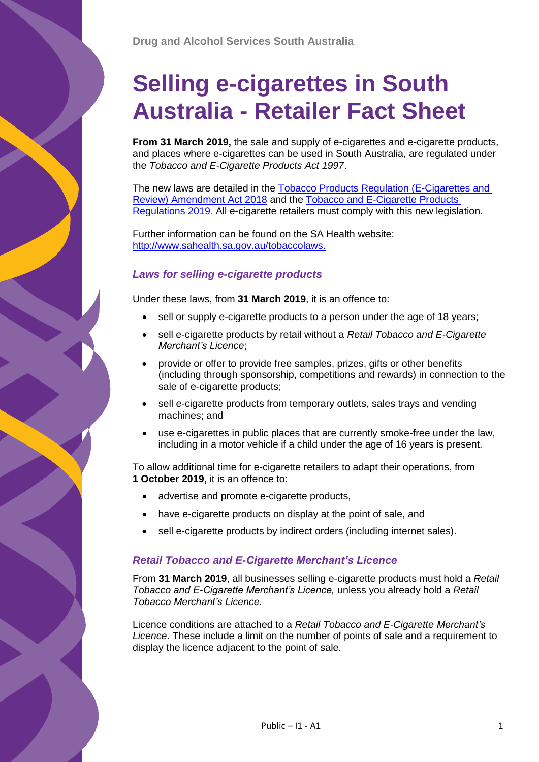# **Selling e-cigarettes in South Australia - Retailer Fact Sheet**

**From 31 March 2019,** the sale and supply of e-cigarettes and e-cigarette products, and places where e-cigarettes can be used in South Australia, are regulated under the *Tobacco and E-Cigarette Products Act 1997*.

The new laws are detailed in the [Tobacco Products Regulation \(E-Cigarettes and](https://www.legislation.sa.gov.au/LZ/V/A/2018/TOBACCO%20PRODUCTS%20REGULATION%20(E-CIGARETTES%20AND%20REVIEW)%20AMENDMENT%20ACT%202018_39/2018.39.UN.PDF)  [Review\) Amendment Act 2018](https://www.legislation.sa.gov.au/LZ/V/A/2018/TOBACCO%20PRODUCTS%20REGULATION%20(E-CIGARETTES%20AND%20REVIEW)%20AMENDMENT%20ACT%202018_39/2018.39.UN.PDF) and the [Tobacco and E-Cigarette Products](https://www.legislation.sa.gov.au/lz/c/r/tobacco%20and%20e-cigarette%20products%20regulations%202019/current/2019.8.auth.pdf)  [Regulations 2019.](https://www.legislation.sa.gov.au/lz/c/r/tobacco%20and%20e-cigarette%20products%20regulations%202019/current/2019.8.auth.pdf) All e-cigarette retailers must comply with this new legislation.

Further information can be found on the SA Health website: [http://www.sahealth.sa.gov.au/tobaccolaws.](http://www.sahealth.sa.gov.au/tobaccolaws)

## *Laws for selling e-cigarette products*

Under these laws, from **31 March 2019**, it is an offence to:

- sell or supply e-cigarette products to a person under the age of 18 years;
- sell e-cigarette products by retail without a *Retail Tobacco and E-Cigarette Merchant's Licence*;
- provide or offer to provide free samples, prizes, gifts or other benefits (including through sponsorship, competitions and rewards) in connection to the sale of e-cigarette products;
- sell e-cigarette products from temporary outlets, sales trays and vending machines; and
- use e-cigarettes in public places that are currently smoke-free under the law, including in a motor vehicle if a child under the age of 16 years is present.

To allow additional time for e-cigarette retailers to adapt their operations, from **1 October 2019,** it is an offence to:

- advertise and promote e-cigarette products,
- have e-cigarette products on display at the point of sale, and
- sell e-cigarette products by indirect orders (including internet sales).

## *Retail Tobacco and E-Cigarette Merchant's Licence*

From **31 March 2019**, all businesses selling e-cigarette products must hold a *Retail Tobacco and E-Cigarette Merchant's Licence,* unless you already hold a *Retail Tobacco Merchant's Licence.*

Licence conditions are attached to a *Retail Tobacco and E-Cigarette Merchant's Licence*. These include a limit on the number of points of sale and a requirement to display the licence adjacent to the point of sale.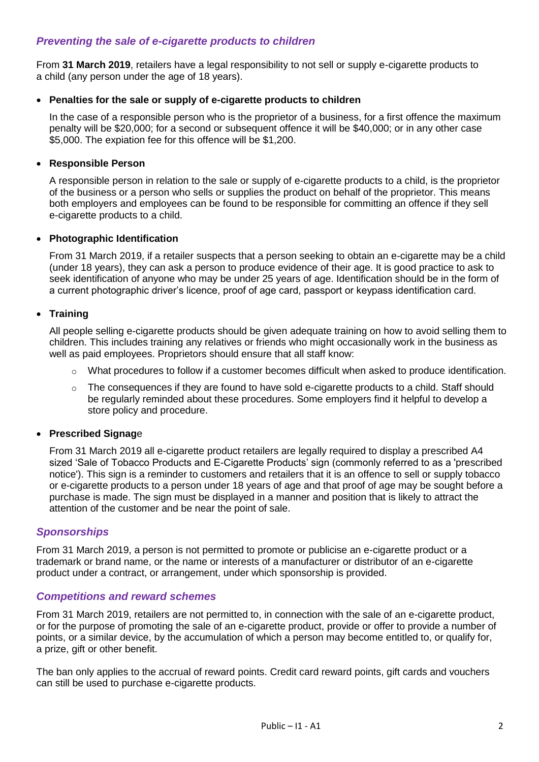## *Preventing the sale of e-cigarette products to children*

From **31 March 2019**, retailers have a legal responsibility to not sell or supply e-cigarette products to a child (any person under the age of 18 years).

### **Penalties for the sale or supply of e-cigarette products to children**

In the case of a responsible person who is the proprietor of a business, for a first offence the maximum penalty will be \$20,000; for a second or subsequent offence it will be \$40,000; or in any other case \$5,000. The expiation fee for this offence will be \$1,200.

#### **Responsible Person**

A responsible person in relation to the sale or supply of e-cigarette products to a child, is the proprietor of the business or a person who sells or supplies the product on behalf of the proprietor. This means both employers and employees can be found to be responsible for committing an offence if they sell e-cigarette products to a child.

### **Photographic Identification**

From 31 March 2019, if a retailer suspects that a person seeking to obtain an e-cigarette may be a child (under 18 years), they can ask a person to produce evidence of their age. It is good practice to ask to seek identification of anyone who may be under 25 years of age. Identification should be in the form of a current photographic driver's licence, proof of age card, passport or keypass identification card.

## **Training**

All people selling e-cigarette products should be given adequate training on how to avoid selling them to children. This includes training any relatives or friends who might occasionally work in the business as well as paid employees. Proprietors should ensure that all staff know:

- $\circ$  What procedures to follow if a customer becomes difficult when asked to produce identification.
- $\circ$  The consequences if they are found to have sold e-cigarette products to a child. Staff should be regularly reminded about these procedures. Some employers find it helpful to develop a store policy and procedure.

## **Prescribed Signag**e

From 31 March 2019 all e-cigarette product retailers are legally required to display a prescribed A4 sized 'Sale of Tobacco Products and E-Cigarette Products' sign (commonly referred to as a 'prescribed notice'). This sign is a reminder to customers and retailers that it is an offence to sell or supply tobacco or e-cigarette products to a person under 18 years of age and that proof of age may be sought before a purchase is made. The sign must be displayed in a manner and position that is likely to attract the attention of the customer and be near the point of sale.

## *Sponsorships*

From 31 March 2019, a person is not permitted to promote or publicise an e-cigarette product or a trademark or brand name, or the name or interests of a manufacturer or distributor of an e-cigarette product under a contract, or arrangement, under which sponsorship is provided.

## *Competitions and reward schemes*

From 31 March 2019, retailers are not permitted to, in connection with the sale of an e-cigarette product, or for the purpose of promoting the sale of an e-cigarette product, provide or offer to provide a number of points, or a similar device, by the accumulation of which a person may become entitled to, or qualify for, a prize, gift or other benefit.

The ban only applies to the accrual of reward points. Credit card reward points, gift cards and vouchers can still be used to purchase e-cigarette products.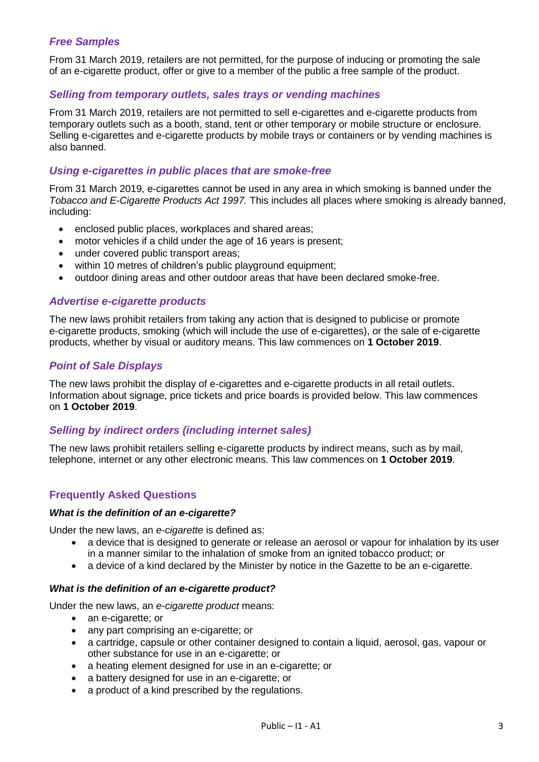## *Free Samples*

From 31 March 2019, retailers are not permitted, for the purpose of inducing or promoting the sale of an e-cigarette product, offer or give to a member of the public a free sample of the product.

#### *Selling from temporary outlets, sales trays or vending machines*

From 31 March 2019, retailers are not permitted to sell e-cigarettes and e-cigarette products from temporary outlets such as a booth, stand, tent or other temporary or mobile structure or enclosure. Selling e-cigarettes and e-cigarette products by mobile trays or containers or by vending machines is also banned.

## *Using e-cigarettes in public places that are smoke-free*

From 31 March 2019, e-cigarettes cannot be used in any area in which smoking is banned under the *Tobacco and E-Cigarette Products Act 1997.* This includes all places where smoking is already banned, including:

- enclosed public places, workplaces and shared areas;
- motor vehicles if a child under the age of 16 years is present;
- under covered public transport areas;
- within 10 metres of children's public playground equipment;
- outdoor dining areas and other outdoor areas that have been declared smoke-free.

#### *Advertise e-cigarette products*

The new laws prohibit retailers from taking any action that is designed to publicise or promote e-cigarette products, smoking (which will include the use of e-cigarettes), or the sale of e-cigarette products, whether by visual or auditory means. This law commences on **1 October 2019**.

#### *Point of Sale Displays*

The new laws prohibit the display of e-cigarettes and e-cigarette products in all retail outlets. Information about signage, price tickets and price boards is provided below. This law commences on **1 October 2019**.

#### *Selling by indirect orders (including internet sales)*

The new laws prohibit retailers selling e-cigarette products by indirect means, such as by mail, telephone, internet or any other electronic means. This law commences on **1 October 2019**.

## **Frequently Asked Questions**

#### *What is the definition of an e-cigarette?*

Under the new laws, an *e-cigarette* is defined as:

- a device that is designed to generate or release an aerosol or vapour for inhalation by its user in a manner similar to the inhalation of smoke from an ignited tobacco product; or
- a device of a kind declared by the Minister by notice in the Gazette to be an e-cigarette.

#### *What is the definition of an e-cigarette product?*

Under the new laws, an *e-cigarette product* means:

- an e-cigarette; or
- any part comprising an e-cigarette; or
- a cartridge, capsule or other container designed to contain a liquid, aerosol, gas, vapour or other substance for use in an e-cigarette; or
- a heating element designed for use in an e-cigarette; or
- a battery designed for use in an e-cigarette; or
- a product of a kind prescribed by the regulations.